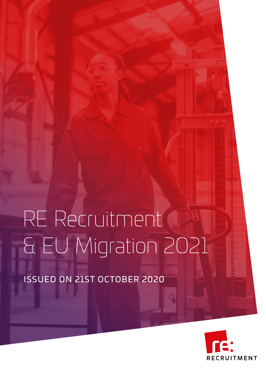# RE Recruitment & EU Migration 2021

ISSUED ON 21ST OCTOBER 2020

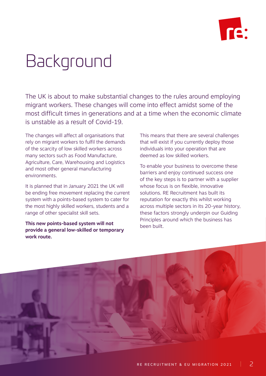

# Background

The UK is about to make substantial changes to the rules around employing migrant workers. These changes will come into effect amidst some of the most difficult times in generations and at a time when the economic climate is unstable as a result of Covid-19.

The changes will affect all organisations that rely on migrant workers to fulfil the demands of the scarcity of low skilled workers across many sectors such as Food Manufacture, Agriculture, Care, Warehousing and Logistics and most other general manufacturing environments.

It is planned that in January 2021 the UK will be ending free movement replacing the current system with a points-based system to cater for the most highly skilled workers, students and a range of other specialist skill sets.

**This new points-based system will not provide a general low-skilled or temporary work route.** 

This means that there are several challenges that will exist if you currently deploy those individuals into your operation that are deemed as low skilled workers.

To enable your business to overcome these barriers and enjoy continued success one of the key steps is to partner with a supplier whose focus is on flexible, innovative solutions. RE Recruitment has built its reputation for exactly this whilst working across multiple sectors in its 20-year history, these factors strongly underpin our Guiding Principles around which the business has been built.

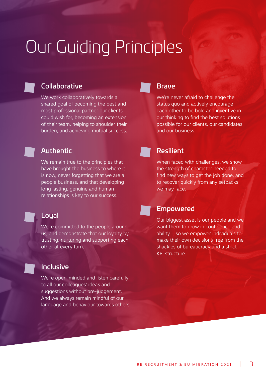# Our Guiding Principles



### **Collaborative**

We work collaboratively towards a shared goal of becoming the best and most professional partner our clients could wish for, becoming an extension of their team, helping to shoulder their burden, and achieving mutual success.

### Authentic

We remain true to the principles that have brought the business to where it is now, never forgetting that we are a people business, and that developing long lasting, genuine and human relationships is key to our success.

### Loyal

We're committed to the people around us, and demonstrate that our loyalty by trusting, nurturing and supporting each other at every turn.

### Inclusive

We're open-minded and listen carefully to all our colleagues' ideas and suggestions without pre-judgement. And we always remain mindful of our language and behaviour towards others.

### **Brave**

We're never afraid to challenge the status quo and actively encourage each other to be bold and inventive in our thinking to find the best solutions possible for our clients, our candidates and our business.

### Resilient

When faced with challenges, we show the strength of character needed to find new ways to get the job done, and to recover quickly from any setbacks we may face.

### Empowered

Our biggest asset is our people and we want them to grow in confidence and ability – so we empower individuals to make their own decisions free from the shackles of bureaucracy and a strict KPI structure.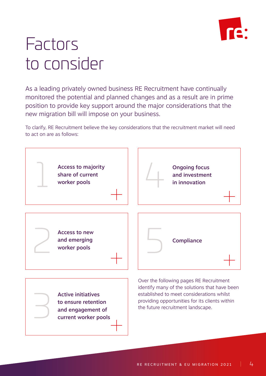

### Factors to consider

As a leading privately owned business RE Recruitment have continually monitored the potential and planned changes and as a result are in prime position to provide key support around the major considerations that the new migration bill will impose on your business.

To clarify, RE Recruitment believe the key considerations that the recruitment market will need to act on are as follows:

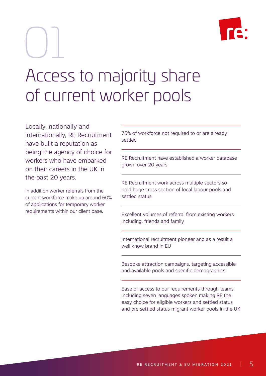01



## Access to majority share of current worker pools

Locally, nationally and internationally, RE Recruitment have built a reputation as being the agency of choice for workers who have embarked on their careers in the UK in the past 20 years.

In addition worker referrals from the current workforce make up around 60% of applications for temporary worker requirements within our client base.

75% of workforce not required to or are already settled

RE Recruitment have established a worker database grown over 20 years

RE Recruitment work across multiple sectors so hold huge cross section of local labour pools and settled status

Excellent volumes of referral from existing workers including, friends and family

International recruitment pioneer and as a result a well know brand in EU

Bespoke attraction campaigns, targeting accessible and available pools and specific demographics

Ease of access to our requirements through teams including seven languages spoken making RE the easy choice for eligible workers and settled status and pre settled status migrant worker pools in the UK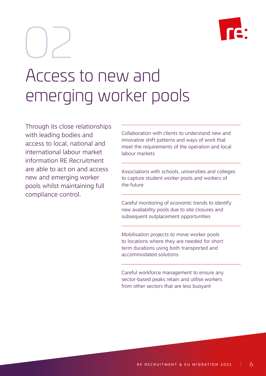02



### Access to new and emerging worker pools

Through its close relationships with leading bodies and access to local, national and international labour market information RE Recruitment are able to act on and access new and emerging worker pools whilst maintaining full compliance control.

Collaboration with clients to understand new and innovative shift patterns and ways of work that meet the requirements of the operation and local labour markets

Associations with schools, universities and colleges to capture student worker pools and workers of the future

Careful monitoring of economic trends to identify new availability pools due to site closures and subsequent outplacement opportunities

Mobilisation projects to move worker pools to locations where they are needed for short term durations using both transported and accommodated solutions

Careful workforce management to ensure any sector-based peaks retain and utilise workers from other sectors that are less buoyant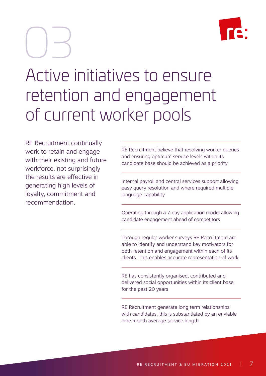

# 03

## Active initiatives to ensure retention and engagement of current worker pools

RE Recruitment continually work to retain and engage with their existing and future workforce, not surprisingly the results are effective in generating high levels of loyalty, commitment and recommendation.

RE Recruitment believe that resolving worker queries and ensuring optimum service levels within its candidate base should be achieved as a priority

Internal payroll and central services support allowing easy query resolution and where required multiple language capability

Operating through a 7-day application model allowing candidate engagement ahead of competitors

Through regular worker surveys RE Recruitment are able to identify and understand key motivators for both retention and engagement within each of its clients. This enables accurate representation of work

RE has consistently organised, contributed and delivered social opportunities within its client base for the past 20 years

RE Recruitment generate long term relationships with candidates, this is substantiated by an enviable nine month average service length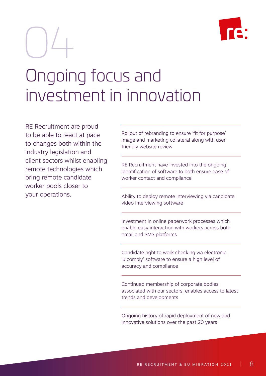

# Ongoing focus and investment in innovation 04

RE Recruitment are proud to be able to react at pace to changes both within the industry legislation and client sectors whilst enabling remote technologies which bring remote candidate worker pools closer to your operations.

Rollout of rebranding to ensure 'fit for purpose' image and marketing collateral along with user friendly website review

RE Recruitment have invested into the ongoing identification of software to both ensure ease of worker contact and compliance

Ability to deploy remote interviewing via candidate video interviewing software

Investment in online paperwork processes which enable easy interaction with workers across both email and SMS platforms

Candidate right to work checking via electronic 'u comply' software to ensure a high level of accuracy and compliance

Continued membership of corporate bodies associated with our sectors, enables access to latest trends and developments

Ongoing history of rapid deployment of new and innovative solutions over the past 20 years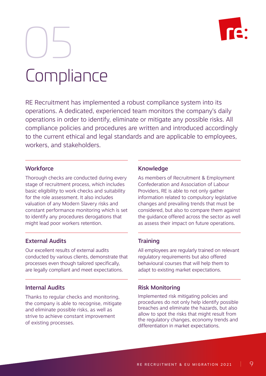

# Compliance 05

RE Recruitment has implemented a robust compliance system into its operations. A dedicated, experienced team monitors the company's daily operations in order to identify, eliminate or mitigate any possible risks. All compliance policies and procedures are written and introduced accordingly to the current ethical and legal standards and are applicable to employees, workers, and stakeholders.

### **Workforce**

Thorough checks are conducted during every stage of recruitment process, which includes basic eligibility to work checks and suitability for the role assessment. It also includes valuation of any Modern Slavery risks and constant performance monitoring which is set to identify any procedures derogations that might lead poor workers retention.

### External Audits

Our excellent results of external audits conducted by various clients, demonstrate that processes even though tailored specifically, are legally compliant and meet expectations.

### Internal Audits

Thanks to regular checks and monitoring, the company is able to recognise, mitigate and eliminate possible risks, as well as strive to achieve constant improvement of existing processes.

#### Knowledge

As members of Recruitment & Employment Confederation and Association of Labour Providers, RE is able to not only gather information related to compulsory legislative changes and prevailing trends that must be considered, but also to compare them against the guidance offered across the sector as well as assess their impact on future operations.

#### Training

All employees are regularly trained on relevant regulatory requirements but also offered behavioural courses that will help them to adapt to existing market expectations.

#### Risk Monitoring

Implemented risk mitigating policies and procedures do not only help identify possible breaches and eliminate the hazards, but also allow to spot the risks that might result from the regulatory changes, economy trends and differentiation in market expectations..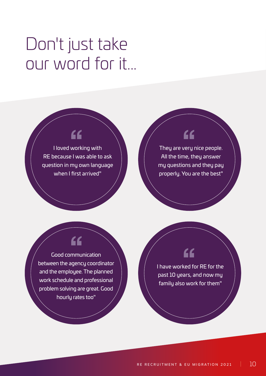# Don't just take our word for it...

### "

I loved working with RE because I was able to ask question in my own language when I first arrived"

### "

They are very nice people. All the time, they answer my questions and they pay properly. You are the best"



Good communication between the agency coordinator and the employee. The planned work schedule and professional problem solving are great. Good hourly rates too"

### "

I have worked for RE for the past 10 years, and now my family also work for them"